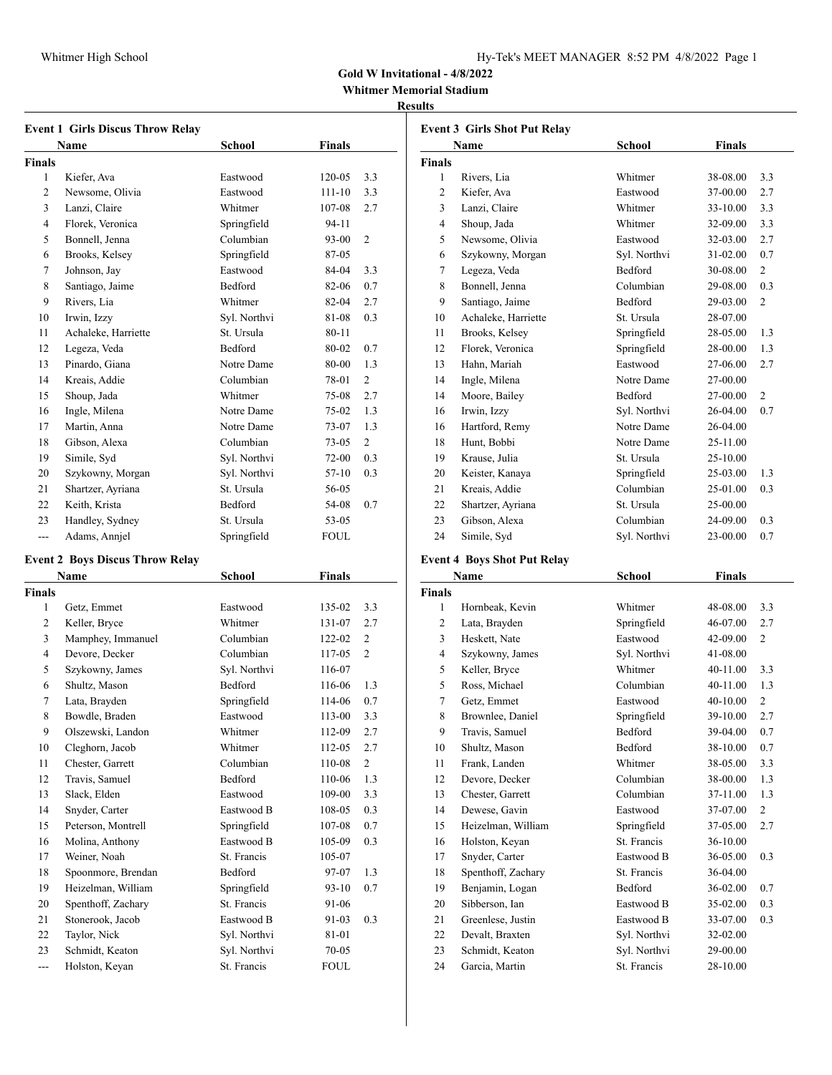| Hy-Tek's MEET MANAGER 8:52 PM 4/8/2022 Page 1 |  |  |  |  |
|-----------------------------------------------|--|--|--|--|
|-----------------------------------------------|--|--|--|--|

**Whitmer Memorial Stadium**

## **Results**

|               | <b>Event 1 Girls Discus Throw Relay</b>        |               |           |                |
|---------------|------------------------------------------------|---------------|-----------|----------------|
|               | Name                                           | <b>School</b> | Finals    |                |
| <b>Finals</b> |                                                |               |           |                |
| 1             | Kiefer, Ava                                    | Eastwood      | 120-05    | 3.3            |
| 2             | Newsome, Olivia                                | Eastwood      | 111-10    | 3.3            |
| 3             | Lanzi, Claire                                  | Whitmer       | 107-08    | 2.7            |
| 4             | Florek, Veronica                               | Springfield   | 94-11     |                |
| 5             | Bonnell, Jenna                                 | Columbian     | 93-00     | $\overline{c}$ |
| 6             | Brooks, Kelsey                                 | Springfield   | 87-05     |                |
| 7             | Johnson, Jay                                   | Eastwood      | 84-04     | 3.3            |
| 8             | Santiago, Jaime                                | Bedford       | 82-06     | 0.7            |
| 9             | Rivers, Lia                                    | Whitmer       | 82-04     | 2.7            |
| 10            | Irwin, Izzy                                    | Syl. Northvi  | 81-08     | 0.3            |
| 11            | Achaleke, Harriette                            | St. Ursula    | 80-11     |                |
| 12            | Legeza, Veda                                   | Bedford       | 80-02     | 0.7            |
| 13            | Pinardo, Giana                                 | Notre Dame    | 80-00     | 1.3            |
| 14            | Kreais, Addie                                  | Columbian     | 78-01     | 2              |
| 15            | Shoup, Jada                                    | Whitmer       | 75-08     | 2.7            |
| 16            | Ingle, Milena                                  | Notre Dame    | 75-02     | 1.3            |
| 17            | Martin, Anna                                   | Notre Dame    | 73-07     | 1.3            |
| 18            | Gibson, Alexa                                  | Columbian     | 73-05     | 2              |
| 19            | Simile, Syd                                    | Syl. Northvi  | 72-00     | 0.3            |
| 20            | Szykowny, Morgan                               | Syl. Northvi  | 57-10     | 0.3            |
| 21            | Shartzer, Ayriana                              | St. Ursula    | 56-05     |                |
| 22            | Keith, Krista                                  | Bedford       | 54-08     | 0.7            |
| 23            | Handley, Sydney                                | St. Ursula    | 53-05     |                |
| ---           | Adams, Annjel                                  | Springfield   | FOUL      |                |
|               |                                                |               |           |                |
|               | <b>Event 2 Boys Discus Throw Relay</b><br>Name |               |           |                |
| <b>Finals</b> |                                                | School        | Finals    |                |
| 1             | Getz, Emmet                                    | Eastwood      | 135-02    | 3.3            |
| 2             | Keller, Bryce                                  | Whitmer       | 131-07    | 2.7            |
| 3             | Mamphey, Immanuel                              | Columbian     | 122-02    | $\overline{c}$ |
| 4             | Devore, Decker                                 | Columbian     | 117-05    | $\overline{c}$ |
| 5             | Szykowny, James                                | Syl. Northvi  | 116-07    |                |
| 6             | Shultz, Mason                                  | Bedford       | 116-06    | 1.3            |
| 7             | Lata, Brayden                                  | Springfield   | 114-06    | 0.7            |
| 8             | Bowdle, Braden                                 | Eastwood      | 113-00    | 3.3            |
| 9             | Olszewski, Landon                              | Whitmer       | 112-09    | 2.7            |
| 10            | Cleghorn, Jacob                                | Whitmer       | 112-05    | 2.7            |
| 11            | Chester, Garrett                               | Columbian     | 110-08    | $\overline{c}$ |
| 12            | Travis, Samuel                                 | Bedford       | 110-06    | 1.3            |
| 13            | Slack, Elden                                   | Eastwood      | 109-00    | 3.3            |
| 14            | Snyder, Carter                                 | Eastwood B    | 108-05    | 0.3            |
| 15            | Peterson, Montrell                             | Springfield   | 107-08    | 0.7            |
| 16            | Molina, Anthony                                | Eastwood B    | 105-09    | 0.3            |
| 17            | Weiner, Noah                                   | St. Francis   | 105-07    |                |
| 18            | Spoonmore, Brendan                             | Bedford       | 97-07     | 1.3            |
| 19            | Heizelman, William                             | Springfield   | $93-10$   | 0.7            |
| 20            | Spenthoff, Zachary                             | St. Francis   |           |                |
|               |                                                | Eastwood B    | 91-06     |                |
| 21            | Stonerook, Jacob<br>Taylor, Nick               |               | 91-03     | 0.3            |
| 22            | Schmidt, Keaton                                | Syl. Northvi  | 81-01     |                |
| 23            |                                                | Syl. Northvi  | $70 - 05$ |                |

--- Holston, Keyan St. Francis FOUL

| <b>Event 3 Girls Shot Put Relay</b> |                                    |                |               |                |  |
|-------------------------------------|------------------------------------|----------------|---------------|----------------|--|
|                                     | Name                               | School         | <b>Finals</b> |                |  |
| <b>Finals</b>                       |                                    |                |               |                |  |
| 1                                   | Rivers, Lia                        | Whitmer        | 38-08.00      | 3.3            |  |
| $\overline{2}$                      | Kiefer, Ava                        | Eastwood       | 37-00.00      | 2.7            |  |
| 3                                   | Lanzi, Claire                      | Whitmer        | 33-10.00      | 3.3            |  |
| 4                                   | Shoup, Jada                        | Whitmer        | 32-09.00      | 3.3            |  |
| 5                                   | Newsome, Olivia                    | Eastwood       | 32-03.00      | 2.7            |  |
| 6                                   | Szykowny, Morgan                   | Syl. Northvi   | 31-02.00      | 0.7            |  |
| 7                                   | Legeza, Veda                       | <b>Bedford</b> | 30-08.00      | $\overline{2}$ |  |
| 8                                   | Bonnell, Jenna                     | Columbian      | 29-08.00      | 0.3            |  |
| 9                                   | Santiago, Jaime                    | <b>Bedford</b> | 29-03.00      | $\overline{c}$ |  |
| 10                                  | Achaleke, Harriette                | St. Ursula     | 28-07.00      |                |  |
| 11                                  | Brooks, Kelsey                     | Springfield    | 28-05.00      | 1.3            |  |
| 12                                  | Florek, Veronica                   | Springfield    | 28-00.00      | 1.3            |  |
| 13                                  | Hahn, Mariah                       | Eastwood       | 27-06.00      | 2.7            |  |
| 14                                  | Ingle, Milena                      | Notre Dame     | 27-00.00      |                |  |
| 14                                  | Moore, Bailey                      | Bedford        | 27-00.00      | $\overline{c}$ |  |
| 16                                  | Irwin, Izzy                        | Syl. Northvi   | 26-04.00      | 0.7            |  |
| 16                                  | Hartford, Remy                     | Notre Dame     | 26-04.00      |                |  |
| 18                                  | Hunt, Bobbi                        | Notre Dame     | 25-11.00      |                |  |
| 19                                  | Krause, Julia                      | St. Ursula     | 25-10.00      |                |  |
| 20                                  | Keister, Kanaya                    | Springfield    | 25-03.00      | 1.3            |  |
| 21                                  | Kreais, Addie                      | Columbian      | 25-01.00      | 0.3            |  |
| 22                                  | Shartzer, Ayriana                  | St. Ursula     | 25-00.00      |                |  |
| 23                                  | Gibson, Alexa                      | Columbian      | 24-09.00      | 0.3            |  |
| 24                                  | Simile, Syd                        | Syl. Northvi   | 23-00.00      | 0.7            |  |
|                                     | <b>Event 4 Boys Shot Put Relay</b> |                |               |                |  |
|                                     | Name                               | School         | <b>Finals</b> |                |  |
| <b>Finals</b>                       |                                    |                |               |                |  |
| 1                                   | Hornbeak, Kevin                    | Whitmer        | 48-08.00      | 3.3            |  |
| 2                                   | Lata, Brayden                      | Springfield    | 46-07.00      | 2.7            |  |
| 3                                   | Heskett, Nate                      | Eastwood       | 42-09.00      | $\overline{2}$ |  |
| 4                                   | Szykowny, James                    | Syl. Northvi   | 41-08.00      |                |  |
| 5                                   | Keller, Bryce                      | Whitmer        | 40-11.00      | 3.3            |  |
| 5                                   | Ross, Michael                      | Columbian      | 40-11.00      | 1.3            |  |
| 7                                   | Getz, Emmet                        | Eastwood       | 40-10.00      | $\overline{2}$ |  |
| 8                                   | Brownlee, Daniel                   | Springfield    | 39-10.00      | 2.7            |  |
| 9                                   | Travis, Samuel                     | <b>Bedford</b> | 39-04.00      | 0.7            |  |
| 10                                  | Shultz, Mason                      | <b>Bedford</b> | 38-10.00      | 0.7            |  |

 Frank, Landen Whitmer 38-05.00 3.3 Devore, Decker Columbian 38-00.00 1.3 Chester, Garrett Columbian 37-11.00 1.3 Dewese, Gavin Eastwood 37-07.00 2 Heizelman, William Springfield 37-05.00 2.7 16 Holston, Keyan St. Francis 36-10.00 Snyder, Carter Eastwood B 36-05.00 0.3 18 Spenthoff, Zachary St. Francis 36-04.00 Benjamin, Logan Bedford 36-02.00 0.7 Sibberson, Ian Eastwood B 35-02.00 0.3 21 Greenlese, Justin Eastwood B 33-07.00 0.3 22 Devalt, Braxten Syl. Northvi 32-02.00 23 Schmidt, Keaton Syl. Northvi 29-00.00 24 Garcia, Martin St. Francis 28-10.00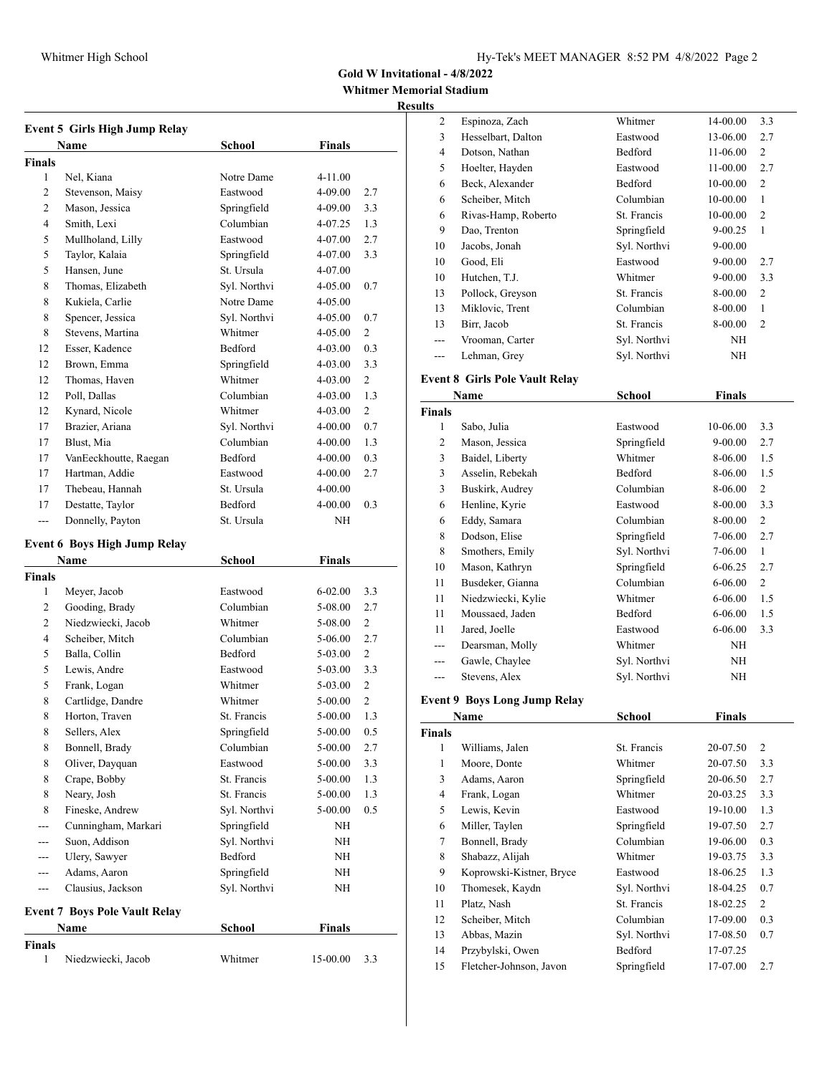**Whitmer Memorial Stadium**

## **Results**

| <b>Event 5 Girls High Jump Relay</b> |                                      |                |               |                |  |
|--------------------------------------|--------------------------------------|----------------|---------------|----------------|--|
|                                      | Name                                 | School         | Finals        |                |  |
| <b>Finals</b>                        |                                      |                |               |                |  |
| 1                                    | Nel, Kiana                           | Notre Dame     | 4-11.00       |                |  |
| 2                                    | Stevenson, Maisy                     | Eastwood       | 4-09.00       | 2.7            |  |
| 2                                    | Mason, Jessica                       | Springfield    | 4-09.00       | 3.3            |  |
| 4                                    | Smith, Lexi                          | Columbian      | 4-07.25       | 1.3            |  |
| 5                                    | Mullholand, Lilly                    | Eastwood       | 4-07.00       | 2.7            |  |
| 5                                    | Taylor, Kalaia                       | Springfield    | 4-07.00       | 3.3            |  |
| 5                                    | Hansen, June                         | St. Ursula     | 4-07.00       |                |  |
| 8                                    | Thomas, Elizabeth                    | Syl. Northvi   | 4-05.00       | 0.7            |  |
| 8                                    | Kukiela, Carlie                      | Notre Dame     | 4-05.00       |                |  |
| 8                                    | Spencer, Jessica                     | Syl. Northvi   | 4-05.00       | 0.7            |  |
| 8                                    | Stevens, Martina                     | Whitmer        | 4-05.00       | $\overline{2}$ |  |
| 12                                   | Esser, Kadence                       | Bedford        | 4-03.00       | 0.3            |  |
| 12                                   | Brown, Emma                          | Springfield    | 4-03.00       | 3.3            |  |
| 12                                   | Thomas, Haven                        | Whitmer        | 4-03.00       | 2              |  |
| 12                                   | Poll, Dallas                         | Columbian      | 4-03.00       | 1.3            |  |
| 12                                   | Kynard, Nicole                       | Whitmer        | 4-03.00       | 2              |  |
| 17                                   | Brazier, Ariana                      | Syl. Northvi   | 4-00.00       | 0.7            |  |
| 17                                   | Blust, Mia                           | Columbian      | 4-00.00       | 1.3            |  |
| 17                                   | VanEeckhoutte, Raegan                | <b>Bedford</b> | 4-00.00       | 0.3            |  |
| 17                                   | Hartman, Addie                       | Eastwood       | 4-00.00       | 2.7            |  |
| 17                                   | Thebeau, Hannah                      | St. Ursula     | 4-00.00       |                |  |
| 17                                   | Destatte, Taylor                     | <b>Bedford</b> | 4-00.00       | 0.3            |  |
| ---                                  | Donnelly, Payton                     | St. Ursula     | NH            |                |  |
|                                      |                                      |                |               |                |  |
|                                      | <b>Event 6 Boys High Jump Relay</b>  |                |               |                |  |
|                                      | Name                                 | School         | Finals        |                |  |
| <b>Finals</b>                        |                                      |                |               |                |  |
| 1                                    | Meyer, Jacob                         | Eastwood       | 6-02.00       | 3.3            |  |
| 2                                    | Gooding, Brady                       | Columbian      | 5-08.00       | 2.7            |  |
| $\overline{c}$                       | Niedzwiecki, Jacob                   | Whitmer        | 5-08.00       | 2              |  |
| 4                                    | Scheiber, Mitch                      | Columbian      | 5-06.00       | 2.7            |  |
| 5                                    | Balla, Collin                        | Bedford        | 5-03.00       | 2              |  |
| 5                                    | Lewis, Andre                         | Eastwood       | 5-03.00       | 3.3            |  |
| 5                                    | Frank, Logan                         | Whitmer        | 5-03.00       | $\overline{c}$ |  |
| 8                                    | Cartlidge, Dandre                    | Whitmer        | 5-00.00       | $\overline{2}$ |  |
| 8                                    | Horton, Traven                       | St. Francis    | 5-00.00       | 1.3            |  |
| 8                                    | Sellers, Alex                        | Springfield    | 5-00.00       | 0.5            |  |
| 8                                    | Bonnell, Brady                       | Columbian      | 5-00.00       | 2.7            |  |
| 8                                    | Oliver, Dayquan                      | Eastwood       | 5-00.00       | 3.3            |  |
| 8                                    | Crape, Bobby                         | St. Francis    | 5-00.00       | 1.3            |  |
| 8                                    | Neary, Josh                          | St. Francis    | 5-00.00       | 1.3            |  |
| 8                                    | Fineske, Andrew                      |                |               | 0.5            |  |
|                                      |                                      | Syl. Northvi   | 5-00.00       |                |  |
| ---                                  | Cunningham, Markari                  | Springfield    | NΗ            |                |  |
| ---                                  | Suon, Addison                        | Syl. Northvi   | NΗ            |                |  |
|                                      | Ulery, Sawyer                        | Bedford        | NΗ            |                |  |
|                                      | Adams, Aaron                         | Springfield    | NH            |                |  |
| ---                                  | Clausius, Jackson                    | Syl. Northvi   | NΗ            |                |  |
|                                      | <b>Event 7 Boys Pole Vault Relay</b> |                |               |                |  |
|                                      | Name                                 | School         | <b>Finals</b> |                |  |
| <b>Finals</b>                        |                                      |                |               |                |  |
| 1                                    | Niedzwiecki, Jacob                   | Whitmer        | 15-00.00      | 3.3            |  |

| uns           |                                       |               |                      |                |
|---------------|---------------------------------------|---------------|----------------------|----------------|
| 2             | Espinoza, Zach                        | Whitmer       | 14-00.00             | 3.3            |
| 3             | Hesselbart, Dalton                    | Eastwood      | 13-06.00             | 2.7            |
| 4             | Dotson, Nathan                        | Bedford       | 11-06.00             | 2              |
| 5             | Hoelter, Hayden                       | Eastwood      | 11-00.00             | 2.7            |
| 6             | Beck, Alexander                       | Bedford       | $10 - 00.00$         | 2              |
| 6             | Scheiber, Mitch                       | Columbian     | 10-00.00             | 1              |
| 6             | Rivas-Hamp, Roberto                   | St. Francis   | $10 - 00.00$         | 2              |
| 9             | Dao, Trenton                          | Springfield   | 9-00.25              | 1              |
| 10            | Jacobs, Jonah                         | Syl. Northvi  | $9 - 00.00$          |                |
| 10            | Good, Eli                             | Eastwood      | 9-00.00              | 2.7            |
| 10            | Hutchen, T.J.                         | Whitmer       | 9-00.00              | 3.3            |
| 13            | Pollock, Greyson                      | St. Francis   | 8-00.00              | 2              |
| 13            | Miklovic, Trent                       | Columbian     | 8-00.00              | $\mathbf{1}$   |
| 13            | Birr, Jacob                           | St. Francis   | 8-00.00              | 2              |
| $---$         | Vrooman, Carter                       | Syl. Northvi  | ΝH                   |                |
| $\frac{1}{2}$ | Lehman, Grey                          | Syl. Northvi  | NΗ                   |                |
|               |                                       |               |                      |                |
|               | <b>Event 8 Girls Pole Vault Relay</b> |               |                      |                |
|               | Name                                  | <b>School</b> | <b>Finals</b>        |                |
| <b>Finals</b> |                                       |               |                      |                |
| 1             | Sabo, Julia                           | Eastwood      | 10-06.00             | 3.3            |
| 2             | Mason, Jessica                        | Springfield   | $9 - 00.00$          | 2.7            |
| 3             | Baidel, Liberty                       | Whitmer       | 8-06.00              | 1.5            |
| 3             | Asselin, Rebekah                      | Bedford       | 8-06.00              | 1.5            |
| 3             | Buskirk, Audrey                       | Columbian     | 8-06.00              | $\overline{c}$ |
| 6             | Henline, Kyrie                        | Eastwood      | 8-00.00              | 3.3            |
| 6             | Eddy, Samara                          | Columbian     | 8-00.00              | $\overline{c}$ |
| 8             | Dodson, Elise                         | Springfield   | 7-06.00              | 2.7            |
| 8             | Smothers, Emily                       | Syl. Northvi  | 7-06.00              | $\mathbf{1}$   |
| 10            | Mason, Kathryn                        | Springfield   | 6-06.25              | 2.7            |
| 11            | Busdeker, Gianna                      | Columbian     | 6-06.00              | 2              |
| 11            | Niedzwiecki, Kylie                    | Whitmer       | 6-06.00              | 1.5            |
| 11            | Moussaed, Jaden                       | Bedford       | 6-06.00              | 1.5            |
| 11            | Jared, Joelle                         | Eastwood      | 6-06.00              | 3.3            |
| ---           | Dearsman, Molly                       | Whitmer       | NH                   |                |
| ---           | Gawle, Chaylee                        | Syl. Northvi  | NH                   |                |
| ---           | Stevens, Alex                         | Syl. Northvi  | NH                   |                |
|               | <b>Event 9 Boys Long Jump Relay</b>   |               |                      |                |
|               |                                       |               |                      |                |
|               | <b>Name</b>                           | <u>School</u> | <b>Finals</b>        |                |
| Finals<br>1   | Williams, Jalen                       | St. Francis   | 20-07.50             | 2              |
| $\mathbf{1}$  | Moore, Donte                          | Whitmer       | 20-07.50             | 3.3            |
| 3             | Adams, Aaron                          | Springfield   | 20-06.50             | 2.7            |
| 4             | Frank, Logan                          | Whitmer       | 20-03.25             | 3.3            |
| 5             | Lewis, Kevin                          | Eastwood      |                      | 1.3            |
| 6             | Miller, Taylen                        | Springfield   | 19-10.00<br>19-07.50 | 2.7            |
| 7             |                                       | Columbian     |                      |                |
| 8             | Bonnell, Brady<br>Shabazz, Alijah     | Whitmer       | 19-06.00             | 0.3<br>3.3     |
|               |                                       |               | 19-03.75             |                |
| 9             | Koprowski-Kistner, Bryce              | Eastwood      | 18-06.25             | 1.3            |
| 10            | Thomesek, Kaydn                       | Syl. Northvi  | 18-04.25             | 0.7            |
| 11            | Platz, Nash                           | St. Francis   | 18-02.25             | $\overline{c}$ |
| 12            | Scheiber, Mitch                       | Columbian     | 17-09.00             | 0.3            |
| 13            | Abbas, Mazin                          | Syl. Northvi  | 17-08.50             | 0.7            |
| 14            | Przybylski, Owen                      | Bedford       | 17-07.25             |                |
| 15            | Fletcher-Johnson, Javon               | Springfield   | 17-07.00             | 2.7            |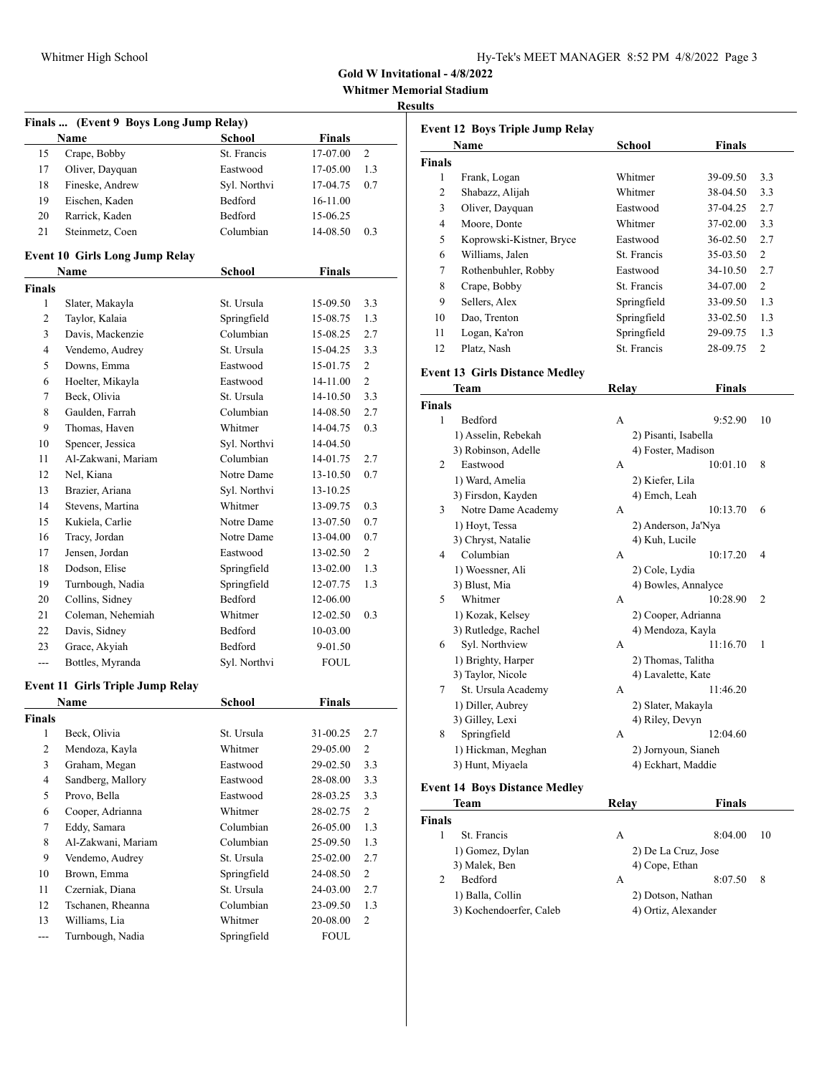| 1y-Tek's MEET MANAGER 8:52 PM 4/8/2022 Page 3 |  |  |  |
|-----------------------------------------------|--|--|--|
|-----------------------------------------------|--|--|--|

**Whitmer Memorial Stadium**

### **Result**

|               | Finals  (Event 9 Boys Long Jump Relay)  |                |               |                |
|---------------|-----------------------------------------|----------------|---------------|----------------|
|               | Name                                    | <b>School</b>  | <b>Finals</b> |                |
| 15            | Crape, Bobby                            | St. Francis    | 17-07.00      | 2              |
| 17            | Oliver, Dayquan                         | Eastwood       | 17-05.00      | 1.3            |
| 18            | Fineske, Andrew                         | Syl. Northvi   | 17-04.75      | 0.7            |
| 19            | Eischen, Kaden                          | Bedford        | 16-11.00      |                |
| 20            | Rarrick, Kaden                          | Bedford        | 15-06.25      |                |
| 21            | Steinmetz, Coen                         | Columbian      | 14-08.50      | 0.3            |
|               | <b>Event 10 Girls Long Jump Relay</b>   |                |               |                |
|               | Name                                    | <b>School</b>  | <b>Finals</b> |                |
| <b>Finals</b> |                                         |                |               |                |
| 1             | Slater, Makayla                         | St. Ursula     | 15-09.50      | 3.3            |
| 2             | Taylor, Kalaia                          | Springfield    | 15-08.75      | 1.3            |
| 3             | Davis, Mackenzie                        | Columbian      | 15-08.25      | 2.7            |
| 4             | Vendemo, Audrey                         | St. Ursula     | 15-04.25      | 3.3            |
| 5             | Downs, Emma                             | Eastwood       | 15-01.75      | 2              |
| 6             | Hoelter, Mikayla                        | Eastwood       | 14-11.00      | $\overline{2}$ |
| 7             | Beck, Olivia                            | St. Ursula     | 14-10.50      | 3.3            |
| 8             | Gaulden, Farrah                         | Columbian      | 14-08.50      | 2.7            |
| 9             | Thomas, Haven                           | Whitmer        | 14-04.75      | 0.3            |
| 10            | Spencer, Jessica                        | Syl. Northvi   | 14-04.50      |                |
| 11            | Al-Zakwani, Mariam                      | Columbian      | 14-01.75      | 2.7            |
| 12            | Nel, Kiana                              | Notre Dame     | 13-10.50      | 0.7            |
| 13            | Brazier, Ariana                         | Syl. Northvi   | 13-10.25      |                |
| 14            | Stevens, Martina                        | Whitmer        | 13-09.75      | 0.3            |
| 15            | Kukiela, Carlie                         | Notre Dame     | 13-07.50      | 0.7            |
| 16            | Tracy, Jordan                           | Notre Dame     | 13-04.00      | 0.7            |
| 17            | Jensen, Jordan                          | Eastwood       | 13-02.50      | 2              |
| 18            | Dodson, Elise                           | Springfield    | 13-02.00      | 1.3            |
| 19            | Turnbough, Nadia                        | Springfield    | 12-07.75      | 1.3            |
| 20            | Collins, Sidney                         | Bedford        | 12-06.00      |                |
| 21            | Coleman, Nehemiah                       | Whitmer        | 12-02.50      | 0.3            |
| 22            | Davis, Sidney                           | Bedford        | 10-03.00      |                |
| 23            | Grace, Akyiah                           | <b>Bedford</b> | 9-01.50       |                |
| ---           | Bottles, Myranda                        | Syl. Northvi   | <b>FOUL</b>   |                |
|               | <b>Event 11 Girls Triple Jump Relay</b> |                |               |                |
|               | Name                                    | <b>School</b>  | Finals        |                |
| Finals        |                                         |                |               |                |
| $\mathbf{1}$  | Beck, Olivia                            | St. Ursula     | 31-00.25      | 2.7            |
| 2             | Mendoza, Kayla                          | Whitmer        | 29-05.00      | $\mathbf{2}$   |
| 3             | Graham, Megan                           | Eastwood       | 29-02.50      | 3.3            |
| 4             | Sandberg, Mallory                       | Eastwood       | 28-08.00      | 3.3            |
| 5             | Provo, Bella                            | Eastwood       | 28-03.25      | 3.3            |
| 6             | Cooper, Adrianna                        | Whitmer        | 28-02.75      | $\overline{c}$ |
| 7             | Eddy, Samara                            | Columbian      | 26-05.00      | 1.3            |
| 8             | Al-Zakwani, Mariam                      | Columbian      | 25-09.50      | 1.3            |
| 9             | Vendemo, Audrey                         | St. Ursula     | 25-02.00      | 2.7            |
| 10            | Brown, Emma                             | Springfield    | 24-08.50      | $\overline{c}$ |
| 11            | Czerniak, Diana                         | St. Ursula     | 24-03.00      | 2.7            |
| 12            | Tschanen, Rheanna                       | Columbian      | 23-09.50      | 1.3            |
| 13            | Williams, Lia                           | Whitmer        | 20-08.00      | $\mathbf{2}$   |
| ---           | Turnbough, Nadia                        | Springfield    | FOUL          |                |

| ults               |                                       |                      |               |                |
|--------------------|---------------------------------------|----------------------|---------------|----------------|
|                    | Event 12 Boys Triple Jump Relay       |                      |               |                |
|                    | Name                                  | School               | <b>Finals</b> |                |
| Finals             |                                       |                      |               |                |
| 1                  | Frank, Logan                          | Whitmer              | 39-09.50      | 3.3            |
| $\overline{c}$     | Shabazz, Alijah                       | Whitmer              | 38-04.50      | 3.3            |
| 3                  | Oliver, Dayquan                       | Eastwood             | 37-04.25      | 2.7            |
| 4                  | Moore, Donte                          | Whitmer              | 37-02.00      | 3.3            |
|                    |                                       | Eastwood             |               |                |
| 5                  | Koprowski-Kistner, Bryce              |                      | 36-02.50      | 2.7            |
| 6                  | Williams, Jalen                       | St. Francis          | 35-03.50      | 2              |
| 7                  | Rothenbuhler, Robby                   | Eastwood             | 34-10.50      | 2.7            |
| 8                  | Crape, Bobby                          | St. Francis          | 34-07.00      | $\overline{2}$ |
| 9                  | Sellers, Alex                         | Springfield          | 33-09.50      | 1.3            |
| 10                 | Dao, Trenton                          | Springfield          | 33-02.50      | 1.3            |
| 11                 | Logan, Ka'ron                         | Springfield          | 29-09.75      | 1.3            |
| 12                 | Platz, Nash                           | St. Francis          | 28-09.75      | 2              |
|                    | <b>Event 13 Girls Distance Medley</b> |                      |               |                |
|                    | Team                                  | Relay                | <b>Finals</b> |                |
|                    |                                       |                      |               |                |
| <b>Finals</b><br>1 |                                       |                      |               |                |
|                    | Bedford                               | А                    | 9:52.90       | 10             |
|                    | 1) Asselin, Rebekah                   | 2) Pisanti, Isabella |               |                |
|                    | 3) Robinson, Adelle                   | 4) Foster, Madison   |               |                |
| 2                  | Eastwood                              | А                    | 10:01.10      | 8              |
|                    | 1) Ward, Amelia                       | 2) Kiefer, Lila      |               |                |
|                    | 3) Firsdon, Kayden                    | 4) Emch, Leah        |               |                |
| 3                  | Notre Dame Academy                    | А                    | 10:13.70      | 6              |
|                    | 1) Hoyt, Tessa                        | 2) Anderson, Ja'Nya  |               |                |
|                    | 3) Chryst, Natalie                    | 4) Kuh, Lucile       |               |                |
| 4                  | Columbian                             | А                    | 10:17.20      | $\overline{4}$ |
|                    | 1) Woessner, Ali                      | 2) Cole, Lydia       |               |                |
|                    | 3) Blust, Mia                         | 4) Bowles, Annalyce  |               |                |
| 5                  | Whitmer                               | А                    | 10:28.90      | 2              |
|                    | 1) Kozak, Kelsey                      | 2) Cooper, Adrianna  |               |                |
|                    | 3) Rutledge, Rachel                   | 4) Mendoza, Kayla    |               |                |
| 6                  | Syl. Northview                        | А                    | 11:16.70      | 1              |
|                    | 1) Brighty, Harper                    | 2) Thomas, Talitha   |               |                |
|                    | 3) Taylor, Nicole                     | 4) Lavalette, Kate   |               |                |
| 7                  | St. Ursula Academy                    | А                    | 11:46.20      |                |
|                    | 1) Diller, Aubrey                     | 2) Slater, Makayla   |               |                |
|                    | 3) Gilley, Lexi                       | 4) Riley, Devyn      |               |                |
| 8                  | Springfield                           | А                    | 12:04.60      |                |
|                    | 1) Hickman, Meghan                    | 2) Jornyoun, Sianeh  |               |                |
|                    | 3) Hunt, Miyaela                      | 4) Eckhart, Maddie   |               |                |
|                    |                                       |                      |               |                |
|                    | <b>Event 14 Boys Distance Medley</b>  |                      |               |                |
|                    | Team                                  | Relay                | <b>Finals</b> |                |
| Finals             |                                       |                      |               |                |
| 1                  | St. Francis                           | А                    | 8:04.00       | 10             |
|                    | 1) Gomez, Dylan                       | 2) De La Cruz, Jose  |               |                |
|                    | 3) Malek, Ben                         | 4) Cope, Ethan       |               |                |
| 2                  | Bedford                               | А                    | 8:07.50       | 8              |
|                    | 1) Balla, Collin                      | 2) Dotson, Nathan    |               |                |

3) Kochendoerfer, Caleb 4) Ortiz, Alexander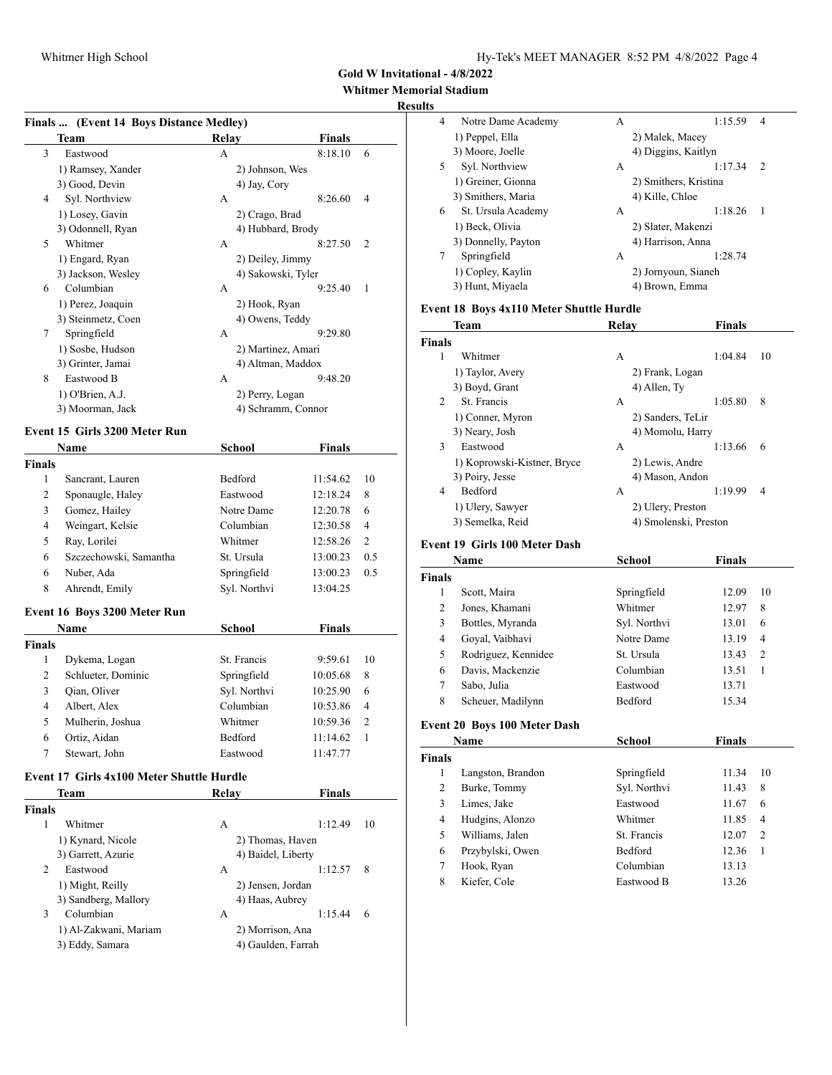# **Whitmer Memorial Stadium**

#### **Results**

|               | Finals  (Event 14 Boys Distance Medley)   |                                        |               |                |
|---------------|-------------------------------------------|----------------------------------------|---------------|----------------|
|               | Team                                      | Relay                                  | <b>Finals</b> |                |
| 3             | Eastwood                                  | A                                      | 8:18.10       | 6              |
|               | 1) Ramsey, Xander                         | 2) Johnson, Wes                        |               |                |
|               | 3) Good, Devin                            | 4) Jay, Cory                           |               |                |
| 4             | Syl. Northview                            | A                                      | 8:26.60       | 4              |
|               | 1) Losey, Gavin                           | 2) Crago, Brad                         |               |                |
|               | 3) Odonnell, Ryan                         | 4) Hubbard, Brody                      |               |                |
| 5             | Whitmer                                   | A                                      | 8:27.50       | 2              |
|               | 1) Engard, Ryan                           | 2) Deiley, Jimmy                       |               |                |
|               | 3) Jackson, Wesley                        | 4) Sakowski, Tyler                     |               |                |
| 6             | Columbian                                 | A                                      | 9:25.40       | 1              |
|               | 1) Perez, Joaquin                         | 2) Hook, Ryan                          |               |                |
|               | 3) Steinmetz, Coen                        | 4) Owens, Teddy                        |               |                |
| 7             | Springfield                               | A                                      | 9:29.80       |                |
|               | 1) Sosbe, Hudson                          | 2) Martinez, Amari                     |               |                |
|               | 3) Grinter, Jamai                         | 4) Altman, Maddox                      |               |                |
| 8             | Eastwood B                                | А                                      | 9:48.20       |                |
|               | 1) O'Brien, A.J.                          | 2) Perry, Logan                        |               |                |
|               | 3) Moorman, Jack                          | 4) Schramm, Connor                     |               |                |
|               | Event 15 Girls 3200 Meter Run             |                                        |               |                |
|               | Name                                      | School                                 | <b>Finals</b> |                |
| <b>Finals</b> |                                           |                                        |               |                |
| 1             | Sancrant, Lauren                          | Bedford                                | 11:54.62      | 10             |
| 2             | Sponaugle, Haley                          | Eastwood                               | 12:18.24      | 8              |
| 3             | Gomez, Hailey                             | Notre Dame                             | 12:20.78      | 6              |
| 4             | Weingart, Kelsie                          | Columbian                              | 12:30.58      | 4              |
| 5             | Ray, Lorilei                              | Whitmer                                | 12:58.26      | 2              |
| 6             | Szczechowski, Samantha                    | St. Ursula                             | 13:00.23      | 0.5            |
| 6             | Nuber, Ada                                | Springfield                            | 13:00.23      | 0.5            |
| 8             | Ahrendt, Emily                            | Syl. Northvi                           | 13:04.25      |                |
|               |                                           |                                        |               |                |
|               | Event 16 Boys 3200 Meter Run              |                                        |               |                |
|               | Name                                      | School                                 | <b>Finals</b> |                |
| <b>Finals</b> |                                           |                                        |               |                |
| 1             | Dykema, Logan                             | St. Francis                            | 9:59.61       | 10             |
| 2             | Schlueter, Dominic                        | Springfield                            | 10:05.68      | 8              |
| 3             | Qian, Oliver                              | Syl. Northvi                           | 10:25.90      | 6              |
| 4             | Albert, Alex                              | Columbian                              | 10:53.86      | 4              |
| 5             | Mulherin, Joshua                          | Whitmer                                | 10:59.36      | $\overline{c}$ |
| 6             | Ortiz, Aidan                              | Bedford                                | 11:14.62      | 1              |
| 7             | Stewart, John                             | Eastwood                               | 11:47.77      |                |
|               | Event 17 Girls 4x100 Meter Shuttle Hurdle |                                        |               |                |
|               | Team                                      | Relav                                  | <b>Finals</b> |                |
| <b>Finals</b> |                                           |                                        |               |                |
| 1             | Whitmer                                   | A                                      | 1:12.49       | 10             |
|               | 1) Kynard, Nicole                         |                                        |               |                |
|               | 3) Garrett, Azurie                        | 2) Thomas, Haven<br>4) Baidel, Liberty |               |                |
| 2             | Eastwood                                  | A                                      | 1:12.57       | 8              |
|               | 1) Might, Reilly                          | 2) Jensen, Jordan                      |               |                |
|               |                                           |                                        |               |                |

3) Sandberg, Mallory 4) Haas, Aubrey

3 Columbian A 1:15.44 6 1) Al-Zakwani, Mariam 2) Morrison, Ana 3) Eddy, Samara (4) Gaulden, Farrah

|    | ı stadıum           |   |                       |    |
|----|---------------------|---|-----------------------|----|
| 4  | Notre Dame Academy  | А | 1:15.59               | 4  |
|    | 1) Peppel, Ella     |   | 2) Malek, Macey       |    |
|    | 3) Moore, Joelle    |   | 4) Diggins, Kaitlyn   |    |
| 5. | Syl. Northview      | А | 1:17.34               | 2  |
|    | 1) Greiner, Gionna  |   | 2) Smithers, Kristina |    |
|    | 3) Smithers, Maria  |   | 4) Kille, Chloe       |    |
| 6  | St. Ursula Academy  | А | 1:18.26               | -1 |
|    | 1) Beck, Olivia     |   | 2) Slater, Makenzi    |    |
|    | 3) Donnelly, Payton |   | 4) Harrison, Anna     |    |
| 7  | Springfield         | А | 1:28.74               |    |
|    | 1) Copley, Kaylin   |   | 2) Jornyoun, Sianeh   |    |
|    | 3) Hunt, Miyaela    |   | 4) Brown, Emma        |    |
|    |                     |   |                       |    |

### **Event 18 Boys 4x110 Meter Shuttle Hurdle**

| <b>Team</b>                 |   | <b>Finals</b>                                                                                                            |                                           |
|-----------------------------|---|--------------------------------------------------------------------------------------------------------------------------|-------------------------------------------|
| <b>Finals</b>               |   |                                                                                                                          |                                           |
| Whitmer                     | А | 1:04.84                                                                                                                  | 10                                        |
| 1) Taylor, Avery            |   |                                                                                                                          |                                           |
| 3) Boyd, Grant              |   |                                                                                                                          |                                           |
| St. Francis                 | А | 1:05.80                                                                                                                  | 8                                         |
| 1) Conner, Myron            |   |                                                                                                                          |                                           |
| 3) Neary, Josh              |   |                                                                                                                          |                                           |
| Eastwood                    | А | 1:13.66                                                                                                                  | 6                                         |
| 1) Koprowski-Kistner, Bryce |   |                                                                                                                          |                                           |
| 3) Poiry, Jesse             |   |                                                                                                                          |                                           |
| <b>Bedford</b>              | А | 1:19.99                                                                                                                  | 4                                         |
| 1) Ulery, Sawyer            |   |                                                                                                                          |                                           |
| 3) Semelka, Reid            |   |                                                                                                                          |                                           |
|                             |   | Relay<br>2) Frank, Logan<br>4) Allen, Ty<br>2) Sanders, TeLir<br>2) Lewis, Andre<br>4) Mason, Andon<br>2) Ulery, Preston | 4) Momolu, Harry<br>4) Smolenski, Preston |

### **Event 19 Girls 100 Meter Dash**

|               | Name                | School         | Finals |                |
|---------------|---------------------|----------------|--------|----------------|
| <b>Finals</b> |                     |                |        |                |
|               | Scott, Maira        | Springfield    | 12.09  | 10             |
| 2             | Jones, Khamani      | Whitmer        | 12.97  | 8              |
| 3             | Bottles, Myranda    | Syl. Northvi   | 13.01  | 6              |
| 4             | Goyal, Vaibhavi     | Notre Dame     | 13.19  | $\overline{4}$ |
| 5             | Rodriguez, Kennidee | St. Ursula     | 13.43  | 2              |
| 6             | Davis, Mackenzie    | Columbian      | 13.51  |                |
| 7             | Sabo, Julia         | Eastwood       | 13.71  |                |
| 8             | Scheuer, Madilynn   | <b>Bedford</b> | 15.34  |                |

## **Event 20 Boys 100 Meter Dash**

|               | Name              | School         | Finals |                |
|---------------|-------------------|----------------|--------|----------------|
| <b>Finals</b> |                   |                |        |                |
|               | Langston, Brandon | Springfield    | 11.34  | 10             |
| 2             | Burke, Tommy      | Syl. Northvi   | 11.43  | 8              |
| 3             | Limes, Jake       | Eastwood       | 11.67  | 6              |
| 4             | Hudgins, Alonzo   | Whitmer        | 11.85  | 4              |
| 5             | Williams, Jalen   | St. Francis    | 12.07  | $\overline{c}$ |
| 6             | Przybylski, Owen  | <b>Bedford</b> | 12.36  | 1              |
| 7             | Hook, Ryan        | Columbian      | 13.13  |                |
| 8             | Kiefer, Cole      | Eastwood B     | 13.26  |                |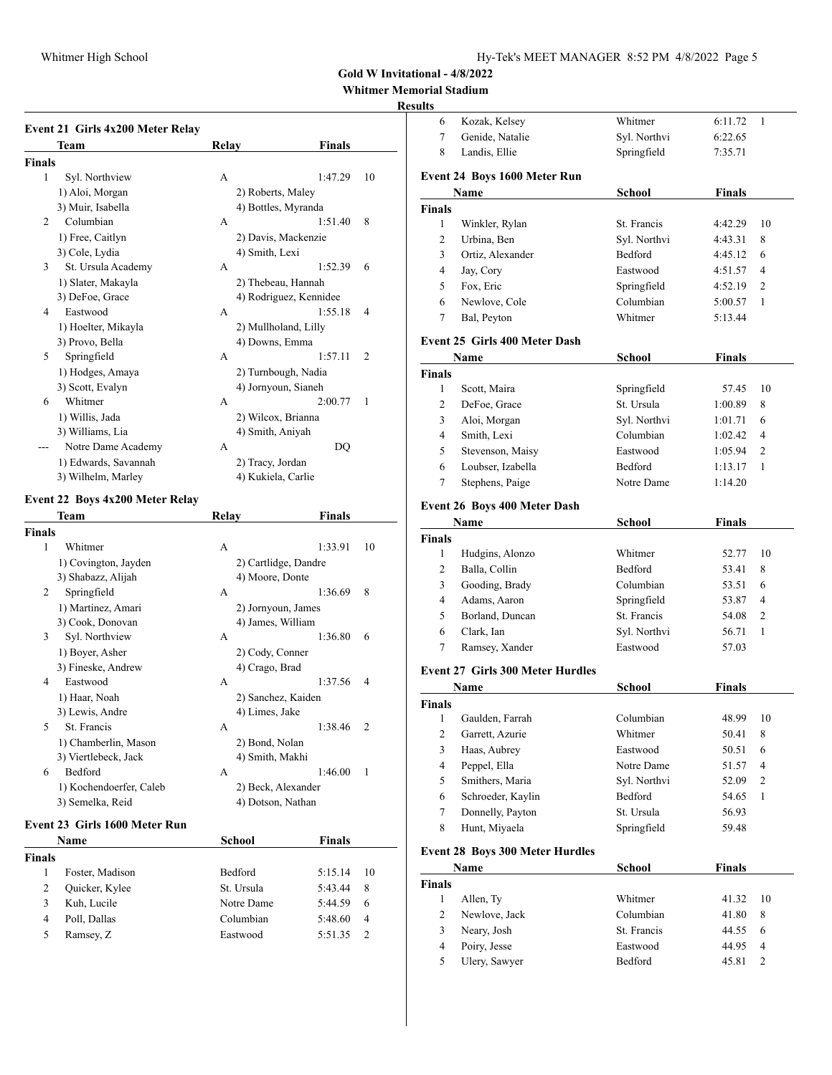# **Whitmer Memorial Stadium**

# **Resu**

|                | Event 21 Girls 4x200 Meter Relay |       |                        |                |
|----------------|----------------------------------|-------|------------------------|----------------|
|                | Team                             | Relay | Finals                 |                |
| <b>Finals</b>  |                                  |       |                        |                |
| 1              | Syl. Northview                   | A     | 1:47.29                | 10             |
|                | 1) Aloi, Morgan                  |       | 2) Roberts, Maley      |                |
|                | 3) Muir, Isabella                |       | 4) Bottles, Myranda    |                |
| $\mathfrak{D}$ | Columbian                        | A     | 1:51.40                | 8              |
|                | 1) Free, Caitlyn                 |       | 2) Davis, Mackenzie    |                |
|                | 3) Cole, Lydia                   |       | 4) Smith, Lexi         |                |
| 3              | St. Ursula Academy               | A     | 1:52.39                | 6              |
|                | 1) Slater, Makayla               |       | 2) Thebeau, Hannah     |                |
|                | 3) DeFoe, Grace                  |       | 4) Rodriguez, Kennidee |                |
| 4              | Eastwood                         | A     | 1:55.18                | 4              |
|                | 1) Hoelter, Mikayla              |       | 2) Mullholand, Lilly   |                |
|                | 3) Provo, Bella                  |       | 4) Downs, Emma         |                |
| 5              | Springfield                      | A     | 1:57.11                | $\overline{c}$ |
|                | 1) Hodges, Amaya                 |       | 2) Turnbough, Nadia    |                |
|                | 3) Scott, Evalyn                 |       | 4) Jornyoun, Sianeh    |                |
| 6              | Whitmer                          | A     | 2:00.77                | 1              |
|                | 1) Willis, Jada                  |       | 2) Wilcox, Brianna     |                |
|                | 3) Williams, Lia                 |       | 4) Smith, Aniyah       |                |
|                | Notre Dame Academy               | A     | DO                     |                |
|                | 1) Edwards, Savannah             |       | 2) Tracy, Jordan       |                |
|                | 3) Wilhelm, Marley               |       | 4) Kukiela, Carlie     |                |

### **Event 22 Boys 4x200 Meter Relay**

|        | <b>Team</b>             | Relav             | Finals                    |    |
|--------|-------------------------|-------------------|---------------------------|----|
| Finals |                         |                   |                           |    |
| 1      | Whitmer                 | A                 | 1:33.91                   | 10 |
|        | 1) Covington, Jayden    |                   | 2) Cartlidge, Dandre      |    |
|        | 3) Shabazz, Alijah      | 4) Moore, Donte   |                           |    |
| 2      | Springfield             | A                 | 8<br>1:36.69              |    |
|        | 1) Martinez, Amari      |                   | 2) Jornyoun, James        |    |
|        | 3) Cook, Donovan        | 4) James, William |                           |    |
| 3      | Syl. Northview          | A                 | 1:36.80<br>6              |    |
|        | 1) Boyer, Asher         | 2) Cody, Conner   |                           |    |
|        | 3) Fineske, Andrew      | 4) Crago, Brad    |                           |    |
| 4      | Eastwood                | A                 | 1:37.56<br>4              |    |
|        | 1) Haar, Noah           |                   | 2) Sanchez, Kaiden        |    |
|        | 3) Lewis, Andre         | 4) Limes, Jake    |                           |    |
| 5      | St. Francis             | A                 | 1:38.46<br>$\overline{c}$ |    |
|        | 1) Chamberlin, Mason    | 2) Bond, Nolan    |                           |    |
|        | 3) Viertlebeck, Jack    | 4) Smith, Makhi   |                           |    |
| 6      | Bedford                 | A                 | 1:46.00<br>1              |    |
|        | 1) Kochendoerfer, Caleb |                   | 2) Beck, Alexander        |    |
|        | 3) Semelka, Reid        | 4) Dotson, Nathan |                           |    |

#### **Event 23 Girls 1600 Meter Run**

|               | Name            | School         | <b>Finals</b> |                |
|---------------|-----------------|----------------|---------------|----------------|
| <b>Finals</b> |                 |                |               |                |
|               | Foster, Madison | <b>Bedford</b> | 5:15.14       | 10             |
| 2             | Quicker, Kylee  | St. Ursula     | 5:43.44       | 8              |
| 3             | Kuh, Lucile     | Notre Dame     | 5:44.59       | 6              |
| 4             | Poll, Dallas    | Columbian      | 5:48.60       | $\overline{4}$ |
| 5             | Ramsey, Z       | Eastwood       | 5:51.35       |                |

| ılts           |                                         |                |               |                          |
|----------------|-----------------------------------------|----------------|---------------|--------------------------|
| 6              | Kozak, Kelsey                           | Whitmer        | 6:11.72       | 1                        |
| 7              | Genide, Natalie                         | Syl. Northvi   | 6:22.65       |                          |
| 8              | Landis, Ellie                           | Springfield    | 7:35.71       |                          |
|                | Event 24 Boys 1600 Meter Run            |                |               |                          |
|                | <b>Name</b>                             | <b>School</b>  | Finals        |                          |
| <b>Finals</b>  |                                         |                |               |                          |
| 1              | Winkler, Rylan                          | St. Francis    | 4:42.29       | 10                       |
| 2              | Urbina. Ben                             | Syl. Northvi   | 4:43.31       | 8                        |
| 3              | Ortiz, Alexander                        | <b>Bedford</b> | 4:45.12       | 6                        |
| 4              | Jay, Cory                               | Eastwood       | 4:51.57       | 4                        |
| 5              | Fox. Eric                               | Springfield    | 4:52.19       | 2                        |
| 6              | Newlove, Cole                           | Columbian      | 5:00.57       | 1                        |
| 7              | Bal, Peyton                             | Whitmer        | 5:13.44       |                          |
|                | Event 25 Girls 400 Meter Dash           |                |               |                          |
|                | Name                                    | <b>School</b>  | Finals        |                          |
| Finals         |                                         |                |               |                          |
| 1              | Scott, Maira                            | Springfield    | 57.45         | 10                       |
| 2              | DeFoe, Grace                            | St. Ursula     | 1:00.89       | 8                        |
| 3              | Aloi, Morgan                            | Syl. Northvi   | 1:01.71       | 6                        |
| 4              | Smith, Lexi                             | Columbian      | 1:02.42       | 4                        |
| 5              | Stevenson, Maisy                        | Eastwood       | 1:05.94       | 2                        |
| 6              | Loubser, Izabella                       | Bedford        | 1:13.17       | 1                        |
| 7              | Stephens, Paige                         | Notre Dame     | 1:14.20       |                          |
|                | <b>Event 26 Boys 400 Meter Dash</b>     |                |               |                          |
|                | Name                                    | <b>School</b>  | <b>Finals</b> |                          |
| Finals         |                                         |                |               |                          |
| 1              | Hudgins, Alonzo                         | Whitmer        | 52.77         | 10                       |
| 2              | Balla, Collin                           | Bedford        | 53.41         | 8                        |
| 3              | Gooding, Brady                          | Columbian      | 53.51         | 6                        |
| 4              | Adams, Aaron                            | Springfield    | 53.87         | 4                        |
| 5              | Borland, Duncan                         | St. Francis    | 54.08         | 2                        |
| 6              | Clark, Ian                              | Syl. Northvi   | 56.71         | 1                        |
| 7              | Ramsey, Xander                          | Eastwood       | 57.03         |                          |
|                | <b>Event 27 Girls 300 Meter Hurdles</b> |                |               |                          |
|                | Name                                    | School         | <b>Finals</b> |                          |
| Finals         |                                         |                |               |                          |
| $\mathbf{1}$   | Gaulden, Farrah                         | Columbian      | 48.99         | 10                       |
| $\sqrt{2}$     | Garrett, Azurie                         | Whitmer        | 50.41         | 8                        |
| $\mathfrak{Z}$ | Haas, Aubrey                            | Eastwood       | 50.51         | 6                        |
| 4              | Peppel, Ella                            | Notre Dame     | 51.57         | 4                        |
| 5              | Smithers, Maria                         | Syl. Northvi   | 52.09         | $\mathfrak{2}$           |
| 6              | Schroeder, Kaylin                       | Bedford        | 54.65         | 1                        |
| $\tau$         | Donnelly, Payton                        | St. Ursula     | 56.93         |                          |
| 8              | Hunt, Miyaela                           | Springfield    | 59.48         |                          |
|                | <b>Event 28 Boys 300 Meter Hurdles</b>  |                |               |                          |
|                | Name                                    | <b>School</b>  | Finals        |                          |
| <b>Finals</b>  |                                         |                |               |                          |
| 1              | Allen, Ty                               | Whitmer        | 41.32         | 10                       |
| $\sqrt{2}$     | Newlove, Jack                           | Columbian      | 41.80         | 8                        |
| $\mathfrak{Z}$ | Neary, Josh                             | St. Francis    | 44.55         | 6                        |
| $\overline{4}$ | Poiry, Jesse                            | Eastwood       | 44.95         | $\overline{\mathcal{A}}$ |
| 5              | Ulery, Sawyer                           | Bedford        | 45.81         | $\sqrt{2}$               |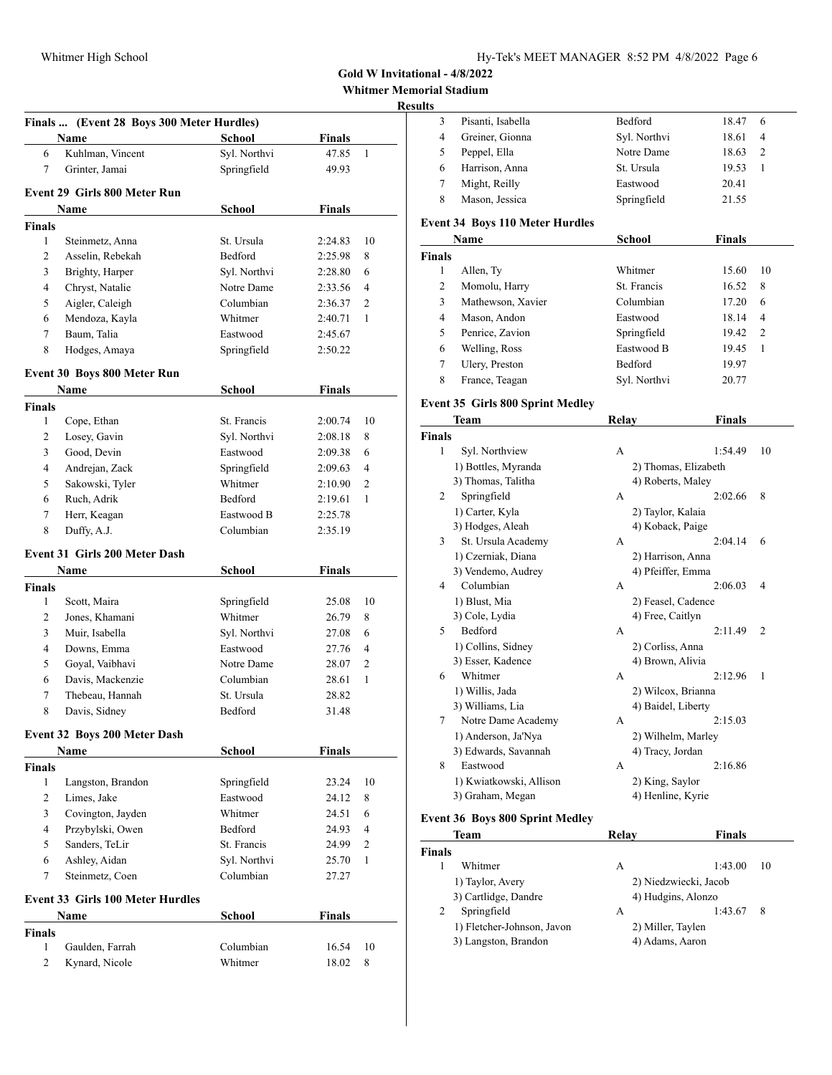**Whitmer Memorial Stadium**

### **Results**

| Finals  (Event 28 Boys 300 Meter Hurdles) |                                         |                         |                    |                |
|-------------------------------------------|-----------------------------------------|-------------------------|--------------------|----------------|
|                                           | Name                                    | School                  | Finals             |                |
| 6                                         | Kuhlman, Vincent                        | Syl. Northvi            | 47.85              | 1              |
| 7                                         | Grinter, Jamai                          | Springfield             | 49.93              |                |
|                                           | Event 29 Girls 800 Meter Run            |                         |                    |                |
|                                           |                                         |                         | <b>Finals</b>      |                |
|                                           | Name                                    | <b>School</b>           |                    |                |
| <b>Finals</b><br>1                        |                                         | St. Ursula              |                    | 10             |
| 2                                         | Steinmetz, Anna<br>Asselin, Rebekah     | Bedford                 | 2:24.83<br>2:25.98 | 8              |
| 3                                         | Brighty, Harper                         | Syl. Northvi            | 2:28.80            | 6              |
| 4                                         | Chryst, Natalie                         | Notre Dame              | 2:33.56            | 4              |
| 5                                         | Aigler, Caleigh                         | Columbian               | 2:36.37            | 2              |
| 6                                         | Mendoza, Kayla                          | Whitmer                 | 2:40.71            | 1              |
| 7                                         | Baum, Talia                             | Eastwood                |                    |                |
| 8                                         |                                         |                         | 2:45.67<br>2:50.22 |                |
|                                           | Hodges, Amaya                           | Springfield             |                    |                |
|                                           | Event 30 Boys 800 Meter Run             |                         |                    |                |
|                                           | Name                                    | <b>School</b>           | <b>Finals</b>      |                |
| <b>Finals</b>                             |                                         |                         |                    |                |
| 1                                         | Cope, Ethan                             | St. Francis             | 2:00.74            | 10             |
| 2                                         | Losey, Gavin                            | Syl. Northvi            | 2:08.18            | 8              |
| 3                                         | Good, Devin                             | Eastwood                | 2:09.38            | 6              |
| 4                                         | Andrejan, Zack                          | Springfield             | 2:09.63            | 4              |
| 5                                         | Sakowski, Tyler                         | Whitmer                 | 2:10.90            | $\overline{c}$ |
| 6                                         | Ruch, Adrik                             | Bedford                 | 2:19.61            | 1              |
| 7                                         | Herr, Keagan                            | Eastwood B              | 2:25.78            |                |
| 8                                         | Duffy, A.J.                             | Columbian               | 2:35.19            |                |
|                                           | <b>Event 31 Girls 200 Meter Dash</b>    |                         |                    |                |
|                                           | Name                                    | <b>School</b>           | Finals             |                |
| <b>Finals</b>                             |                                         |                         |                    |                |
| 1                                         | Scott, Maira                            | Springfield             | 25.08              | 10             |
| 2                                         | Jones, Khamani                          | Whitmer                 | 26.79              | 8              |
| 3                                         | Muir, Isabella                          | Syl. Northvi            | 27.08              | 6              |
| 4                                         | Downs, Emma                             | Eastwood                | 27.76              | 4              |
| 5                                         | Goyal, Vaibhavi                         | Notre Dame              | 28.07              | 2              |
| 6                                         | Davis, Mackenzie                        | Columbian               | 28.61              | 1              |
| 7                                         | Thebeau, Hannah                         | St. Ursula              | 28.82              |                |
| 8                                         | Davis, Sidney                           | Bedford                 | 31.48              |                |
|                                           |                                         |                         |                    |                |
|                                           | Event 32 Boys 200 Meter Dash            |                         |                    |                |
|                                           | Name                                    | School                  | <b>Finals</b>      |                |
| <b>Finals</b><br>$\mathbf{1}$             |                                         |                         |                    |                |
|                                           | Langston, Brandon                       | Springfield<br>Eastwood | 23.24<br>24.12     | 10             |
| 2<br>3                                    | Limes, Jake                             | Whitmer                 |                    | 8              |
|                                           | Covington, Jayden                       |                         | 24.51              | 6              |
| 4                                         | Przybylski, Owen<br>Sanders, TeLir      | Bedford<br>St. Francis  | 24.93              | 4              |
| 5<br>6                                    |                                         | Syl. Northvi            | 24.99              | 2<br>1         |
| 7                                         | Ashley, Aidan                           | Columbian               | 25.70              |                |
|                                           | Steinmetz, Coen                         |                         | 27.27              |                |
|                                           | <b>Event 33 Girls 100 Meter Hurdles</b> |                         |                    |                |
|                                           | Name                                    | School                  | <b>Finals</b>      |                |
| <b>Finals</b>                             |                                         |                         |                    |                |
| 1                                         | Gaulden, Farrah                         | Columbian               | 16.54              | 10             |
| 2                                         | Kynard, Nicole                          | Whitmer                 | 18.02              | 8              |
|                                           |                                         |                         |                    |                |

| ults                          |                                         |                      |               |                |
|-------------------------------|-----------------------------------------|----------------------|---------------|----------------|
| 3                             | Pisanti, Isabella                       | Bedford              | 18.47         | 6              |
| 4                             | Greiner, Gionna                         | Syl. Northvi         | 18.61         | 4              |
| 5                             | Peppel, Ella                            | Notre Dame           | 18.63         | $\overline{2}$ |
| 6                             | Harrison, Anna                          | St. Ursula           | 19.53         | 1              |
| 7                             | Might, Reilly                           | Eastwood             | 20.41         |                |
| 8                             | Mason, Jessica                          | Springfield          | 21.55         |                |
|                               |                                         |                      |               |                |
|                               | <b>Event 34 Boys 110 Meter Hurdles</b>  |                      |               |                |
|                               | Name                                    | <b>School</b>        | <b>Finals</b> |                |
| <b>Finals</b><br>$\mathbf{1}$ |                                         | Whitmer              | 15.60         | 10             |
|                               | Allen, Ty                               | St. Francis          |               |                |
| 2                             | Momolu, Harry                           |                      | 16.52         | 8              |
| 3                             | Mathewson, Xavier                       | Columbian            | 17.20         | 6              |
| 4                             | Mason, Andon                            | Eastwood             | 18.14         | 4              |
| 5                             | Penrice, Zavion                         | Springfield          | 19.42         | 2              |
| 6                             | Welling, Ross                           | Eastwood B           | 19.45         | 1              |
| 7                             | Ulery, Preston                          | Bedford              | 19.97         |                |
| 8                             | France, Teagan                          | Syl. Northvi         | 20.77         |                |
|                               | <b>Event 35 Girls 800 Sprint Medley</b> |                      |               |                |
|                               | Team                                    | <b>Relay</b>         | <b>Finals</b> |                |
| <b>Finals</b>                 |                                         |                      |               |                |
| 1                             | Syl. Northview                          | A                    | 1:54.49       | 10             |
|                               | 1) Bottles, Myranda                     | 2) Thomas, Elizabeth |               |                |
|                               | 3) Thomas, Talitha                      | 4) Roberts, Maley    |               |                |
| 2                             | Springfield                             | А                    | 2:02.66       | 8              |
|                               | 1) Carter, Kyla                         | 2) Taylor, Kalaia    |               |                |
|                               | 3) Hodges, Aleah                        | 4) Koback, Paige     |               |                |
| 3                             | St. Ursula Academy                      | А                    | 2:04.14       | 6              |
|                               | 1) Czerniak, Diana                      | 2) Harrison, Anna    |               |                |
|                               | 3) Vendemo, Audrey                      | 4) Pfeiffer, Emma    |               |                |
| 4                             | Columbian                               | А                    | 2:06.03       | 4              |
|                               | 1) Blust, Mia                           | 2) Feasel, Cadence   |               |                |
|                               | 3) Cole, Lydia                          | 4) Free, Caitlyn     |               |                |
| 5                             | Bedford                                 | A                    | 2:11.49       | 2              |
|                               | 1) Collins, Sidney                      | 2) Corliss, Anna     |               |                |
|                               | 3) Esser, Kadence                       | 4) Brown, Alivia     |               |                |
| 6                             | Whitmer                                 | A                    | 2:12.96       | 1              |
|                               | 1) Willis, Jada                         | 2) Wilcox, Brianna   |               |                |
|                               | 3) Williams, Lia                        | 4) Baidel, Liberty   |               |                |
| 7                             | Notre Dame Academy                      | А                    | 2:15.03       |                |
|                               | 1) Anderson, Ja'Nya                     | 2) Wilhelm, Marley   |               |                |
|                               | 3) Edwards, Savannah                    | 4) Tracy, Jordan     |               |                |
| 8                             | Eastwood                                | А                    | 2:16.86       |                |
|                               | 1) Kwiatkowski, Allison                 | 2) King, Saylor      |               |                |
|                               | 3) Graham, Megan                        | 4) Henline, Kyrie    |               |                |
|                               | <b>Event 36 Boys 800 Sprint Medley</b>  |                      |               |                |
|                               | <b>Team</b>                             | Relay                | <b>Finals</b> |                |

| 1eam          |                            | Kelav | <b>Finals</b>         |    |
|---------------|----------------------------|-------|-----------------------|----|
| <b>Finals</b> |                            |       |                       |    |
|               | Whitmer                    | А     | 1:43.00               | 10 |
|               | 1) Taylor, Avery           |       | 2) Niedzwiecki, Jacob |    |
|               | 3) Cartlidge, Dandre       |       | 4) Hudgins, Alonzo    |    |
|               | Springfield                | А     | 1:43.67               | 8  |
|               | 1) Fletcher-Johnson, Javon |       | 2) Miller, Taylen     |    |
|               | 3) Langston, Brandon       |       | 4) Adams, Aaron       |    |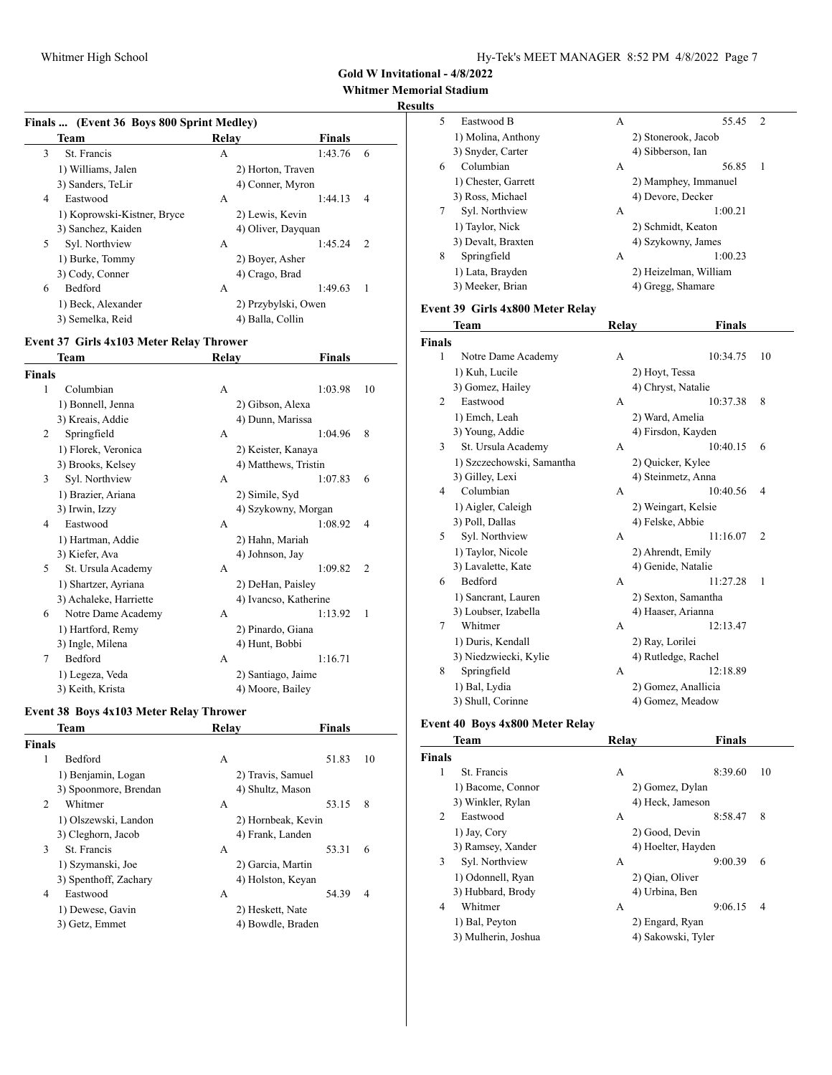#### **Whitmer Memorial Stadium**

### **Results**

|  | Finals  (Event 36 Boys 800 Sprint Medley) |  |
|--|-------------------------------------------|--|

| Team                        | Relav            | <b>Finals</b>       |
|-----------------------------|------------------|---------------------|
| St. Francis<br>3            | А                | 1:43.76<br>6        |
| 1) Williams, Jalen          |                  | 2) Horton, Traven   |
| 3) Sanders, TeLir           |                  | 4) Conner, Myron    |
| Eastwood<br>4               | А                | 1:44.13<br>4        |
| 1) Koprowski-Kistner, Bryce | 2) Lewis, Kevin  |                     |
| 3) Sanchez, Kaiden          |                  | 4) Oliver, Dayquan  |
| 5<br>Syl. Northview         | А                | 1:45.24<br>2        |
| 1) Burke, Tommy             | 2) Boyer, Asher  |                     |
| 3) Cody, Conner             | 4) Crago, Brad   |                     |
| 6<br><b>Bedford</b>         | А                | 1:49.63<br>1        |
| 1) Beck, Alexander          |                  | 2) Przybylski, Owen |
| 3) Semelka, Reid            | 4) Balla, Collin |                     |

### **Event 37 Girls 4x103 Meter Relay Thrower**

|        | Team                   | Relay | Finals                |                |
|--------|------------------------|-------|-----------------------|----------------|
| Finals |                        |       |                       |                |
| 1      | Columbian              | А     | 1:03.98               | 10             |
|        | 1) Bonnell, Jenna      |       | 2) Gibson, Alexa      |                |
|        | 3) Kreais, Addie       |       | 4) Dunn, Marissa      |                |
| 2      | Springfield            | A     | 1:04.96               | 8              |
|        | 1) Florek, Veronica    |       | 2) Keister, Kanaya    |                |
|        | 3) Brooks, Kelsey      |       | 4) Matthews, Tristin  |                |
| 3      | Syl. Northview         | А     | 1:07.83               | 6              |
|        | 1) Brazier, Ariana     |       | 2) Simile, Syd        |                |
|        | 3) Irwin, Izzy         |       | 4) Szykowny, Morgan   |                |
| 4      | Eastwood               | A     | 1:08.92               | 4              |
|        | 1) Hartman, Addie      |       | 2) Hahn, Mariah       |                |
|        | 3) Kiefer, Ava         |       | 4) Johnson, Jay       |                |
| 5      | St. Ursula Academy     | A     | 1:09.82               | $\overline{2}$ |
|        | 1) Shartzer, Ayriana   |       | 2) DeHan, Paisley     |                |
|        | 3) Achaleke, Harriette |       | 4) Ivancso, Katherine |                |
| 6      | Notre Dame Academy     | А     | 1:13.92               | 1              |
|        | 1) Hartford, Remy      |       | 2) Pinardo, Giana     |                |
|        | 3) Ingle, Milena       |       | 4) Hunt, Bobbi        |                |
| 7      | Bedford                | А     | 1:16.71               |                |
|        | 1) Legeza, Veda        |       | 2) Santiago, Jaime    |                |
|        | 3) Keith, Krista       |       | 4) Moore, Bailey      |                |

# **Event 38 Boys 4x103 Meter Relay Thrower**

| <b>Team</b>           | Relav              | <b>Finals</b> |
|-----------------------|--------------------|---------------|
| <b>Finals</b>         |                    |               |
| 1<br><b>Bedford</b>   | А                  | 51.83<br>10   |
| 1) Benjamin, Logan    | 2) Travis, Samuel  |               |
| 3) Spoonmore, Brendan | 4) Shultz, Mason   |               |
| 2<br>Whitmer          | A                  | 53.15<br>8    |
| 1) Olszewski, Landon  | 2) Hornbeak, Kevin |               |
| 3) Cleghorn, Jacob    | 4) Frank, Landen   |               |
| 3<br>St. Francis      | А                  | 53.31<br>6    |
| 1) Szymanski, Joe     | 2) Garcia, Martin  |               |
| 3) Spenthoff, Zachary | 4) Holston, Keyan  |               |
| Eastwood<br>4         | А                  | 54.39<br>4    |
| 1) Dewese, Gavin      | 2) Heskett, Nate   |               |
| 3) Getz, Emmet        | 4) Bowdle, Braden  |               |
|                       |                    |               |

| ື |                     |   |                       |               |
|---|---------------------|---|-----------------------|---------------|
| 5 | Eastwood B          | А | 55.45                 | $\mathcal{D}$ |
|   | 1) Molina, Anthony  |   | 2) Stonerook, Jacob   |               |
|   | 3) Snyder, Carter   |   | 4) Sibberson, Ian     |               |
| 6 | Columbian           | A | 56.85                 | $\mathbf{1}$  |
|   | 1) Chester, Garrett |   | 2) Mamphey, Immanuel  |               |
|   | 3) Ross, Michael    |   | 4) Devore, Decker     |               |
| 7 | Syl. Northview      | A | 1:00.21               |               |
|   | 1) Taylor, Nick     |   | 2) Schmidt, Keaton    |               |
|   | 3) Devalt, Braxten  |   | 4) Szykowny, James    |               |
| 8 | Springfield         | А | 1:00.23               |               |
|   | 1) Lata, Brayden    |   | 2) Heizelman, William |               |
|   | 3) Meeker, Brian    |   | 4) Gregg, Shamare     |               |
|   |                     |   |                       |               |

### **Event 39 Girls 4x800 Meter Relay**

|                | Team                      | Relay | Finals              |                |
|----------------|---------------------------|-------|---------------------|----------------|
| <b>Finals</b>  |                           |       |                     |                |
| 1              | Notre Dame Academy        | A     | 10:34.75            | 10             |
|                | 1) Kuh, Lucile            |       | 2) Hoyt, Tessa      |                |
|                | 3) Gomez, Hailey          |       | 4) Chryst, Natalie  |                |
| $\overline{c}$ | Eastwood                  | A     | 10:37.38            | 8              |
|                | 1) Emch, Leah             |       | 2) Ward, Amelia     |                |
|                | 3) Young, Addie           |       | 4) Firsdon, Kayden  |                |
| 3              | St. Ursula Academy        | A     | 10:40.15            | 6              |
|                | 1) Szczechowski, Samantha |       | 2) Quicker, Kylee   |                |
|                | 3) Gilley, Lexi           |       | 4) Steinmetz, Anna  |                |
| 4              | Columbian                 | A     | 10:40.56            | $\overline{4}$ |
|                | 1) Aigler, Caleigh        |       | 2) Weingart, Kelsie |                |
|                | 3) Poll, Dallas           |       | 4) Felske, Abbie    |                |
| 5              | Syl. Northview            | A     | 11:16.07            | $\overline{2}$ |
|                | 1) Taylor, Nicole         |       | 2) Ahrendt, Emily   |                |
|                | 3) Lavalette, Kate        |       | 4) Genide, Natalie  |                |
| 6              | <b>Bedford</b>            | A     | 11:27.28            | 1              |
|                | 1) Sancrant, Lauren       |       | 2) Sexton, Samantha |                |
|                | 3) Loubser, Izabella      |       | 4) Haaser, Arianna  |                |
| 7              | Whitmer                   | A     | 12:13.47            |                |
|                | 1) Duris, Kendall         |       | 2) Ray, Lorilei     |                |
|                | 3) Niedzwiecki, Kylie     |       | 4) Rutledge, Rachel |                |
| 8              | Springfield               | A     | 12:18.89            |                |
|                | 1) Bal, Lydia             |       | 2) Gomez, Anallicia |                |
|                | 3) Shull, Corinne         |       | 4) Gomez, Meadow    |                |

### **Event 40 Boys 4x800 Meter Relay**

|               | Team                | Relav              | <b>Finals</b> |    |
|---------------|---------------------|--------------------|---------------|----|
| <b>Finals</b> |                     |                    |               |    |
| 1             | St. Francis         | А                  | 8:39.60       | 10 |
|               | 1) Bacome, Connor   | 2) Gomez, Dylan    |               |    |
|               | 3) Winkler, Rylan   | 4) Heck, Jameson   |               |    |
| 2             | Eastwood            | А                  | 8:58.47       | 8  |
|               | 1) Jay, Cory        | 2) Good, Devin     |               |    |
|               | 3) Ramsey, Xander   | 4) Hoelter, Hayden |               |    |
| 3             | Syl. Northview      | А                  | 9:00.39       | 6  |
|               | 1) Odonnell, Ryan   | 2) Qian, Oliver    |               |    |
|               | 3) Hubbard, Brody   | 4) Urbina, Ben     |               |    |
| 4             | Whitmer             | А                  | 9:06.15       | 4  |
|               | 1) Bal, Peyton      | 2) Engard, Ryan    |               |    |
|               | 3) Mulherin, Joshua | 4) Sakowski, Tyler |               |    |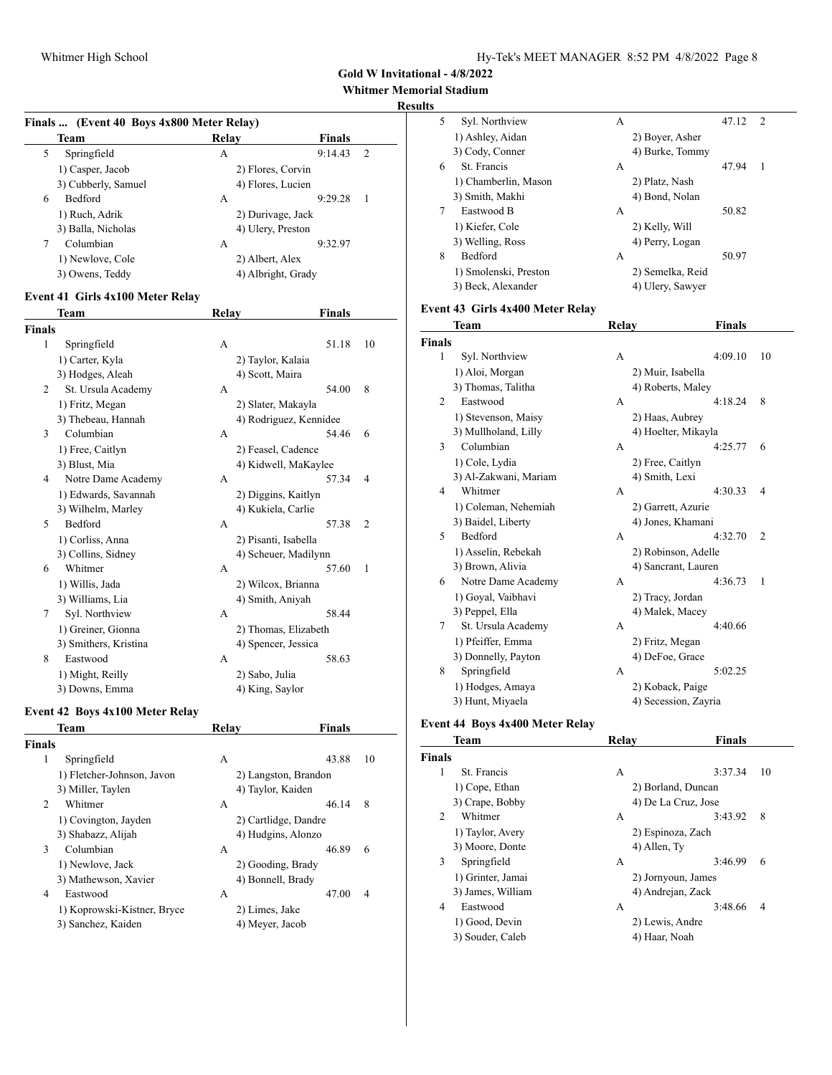#### **Whitmer Memorial Stadium**

### **Results**

|   | Finals  (Event 40 Boys 4x800 Meter Relay) |                    |               |                |  |  |
|---|-------------------------------------------|--------------------|---------------|----------------|--|--|
|   | Team                                      | Relav              | <b>Finals</b> |                |  |  |
| 5 | Springfield                               | А                  | 9:14.43       | 2              |  |  |
|   | 1) Casper, Jacob                          | 2) Flores, Corvin  |               |                |  |  |
|   | 3) Cubberly, Samuel                       | 4) Flores, Lucien  |               |                |  |  |
| 6 | <b>Bedford</b>                            | А                  | 9:29.28       | $\overline{1}$ |  |  |
|   | 1) Ruch, Adrik                            | 2) Durivage, Jack  |               |                |  |  |
|   | 3) Balla, Nicholas                        | 4) Ulery, Preston  |               |                |  |  |
| 7 | Columbian                                 | А                  | 9:32.97       |                |  |  |
|   | 1) Newlove, Cole                          | 2) Albert, Alex    |               |                |  |  |
|   | 3) Owens, Teddy                           | 4) Albright, Grady |               |                |  |  |

### **Event 41 Girls 4x100 Meter Relay**

|               | Team                  | Relay | Finals                 |                |
|---------------|-----------------------|-------|------------------------|----------------|
| <b>Finals</b> |                       |       |                        |                |
| 1             | Springfield           | A     | 51.18                  | 10             |
|               | 1) Carter, Kyla       |       | 2) Taylor, Kalaia      |                |
|               | 3) Hodges, Aleah      |       | 4) Scott, Maira        |                |
| 2             | St. Ursula Academy    | А     | 54.00                  | 8              |
|               | 1) Fritz, Megan       |       | 2) Slater, Makayla     |                |
|               | 3) Thebeau, Hannah    |       | 4) Rodriguez, Kennidee |                |
| 3             | Columbian             | А     | 54.46                  | 6              |
|               | 1) Free, Caitlyn      |       | 2) Feasel, Cadence     |                |
|               | 3) Blust, Mia         |       | 4) Kidwell, MaKaylee   |                |
| 4             | Notre Dame Academy    | А     | 57.34                  | 4              |
|               | 1) Edwards, Savannah  |       | 2) Diggins, Kaitlyn    |                |
|               | 3) Wilhelm, Marley    |       | 4) Kukiela, Carlie     |                |
| 5             | Bedford               | А     | 57.38                  | $\overline{2}$ |
|               | 1) Corliss, Anna      |       | 2) Pisanti, Isabella   |                |
|               | 3) Collins, Sidney    |       | 4) Scheuer, Madilynn   |                |
| 6             | Whitmer               | А     | 57.60                  | 1              |
|               | 1) Willis, Jada       |       | 2) Wilcox, Brianna     |                |
|               | 3) Williams, Lia      |       | 4) Smith, Aniyah       |                |
| 7             | Syl. Northview        | А     | 58.44                  |                |
|               | 1) Greiner, Gionna    |       | 2) Thomas, Elizabeth   |                |
|               | 3) Smithers, Kristina |       | 4) Spencer, Jessica    |                |
| 8             | Eastwood              | A     | 58.63                  |                |
|               | 1) Might, Reilly      |       | 2) Sabo, Julia         |                |
|               | 3) Downs, Emma        |       | 4) King, Saylor        |                |

# **Event 42 Boys 4x100 Meter Relay**

|                | Team                        | Relav              | <b>Finals</b>        |
|----------------|-----------------------------|--------------------|----------------------|
| <b>Finals</b>  |                             |                    |                      |
| 1              | Springfield                 | А                  | 43.88<br>10          |
|                | 1) Fletcher-Johnson, Javon  |                    | 2) Langston, Brandon |
|                | 3) Miller, Taylen           | 4) Taylor, Kaiden  |                      |
| $\mathfrak{D}$ | Whitmer                     | А                  | 8<br>46.14           |
|                | 1) Covington, Jayden        |                    | 2) Cartlidge, Dandre |
|                | 3) Shabazz, Alijah          | 4) Hudgins, Alonzo |                      |
| 3              | Columbian                   | А                  | 46.89<br>6           |
|                | 1) Newlove, Jack            | 2) Gooding, Brady  |                      |
|                | 3) Mathewson, Xavier        | 4) Bonnell, Brady  |                      |
| 4              | Eastwood                    | A                  | 47.00<br>4           |
|                | 1) Koprowski-Kistner, Bryce | 2) Limes, Jake     |                      |
|                | 3) Sanchez, Kaiden          | 4) Meyer, Jacob    |                      |

| LS. |                       |   |                  |       |     |
|-----|-----------------------|---|------------------|-------|-----|
| 5   | Syl. Northview        | А |                  | 47.12 | - 2 |
|     | 1) Ashley, Aidan      |   | 2) Boyer, Asher  |       |     |
|     | 3) Cody, Conner       |   | 4) Burke, Tommy  |       |     |
| 6   | St. Francis           | А |                  | 47.94 | 1   |
|     | 1) Chamberlin, Mason  |   | 2) Platz, Nash   |       |     |
|     | 3) Smith, Makhi       |   | 4) Bond, Nolan   |       |     |
| 7   | Eastwood B            | А |                  | 50.82 |     |
|     | 1) Kiefer, Cole       |   | 2) Kelly, Will   |       |     |
|     | 3) Welling, Ross      |   | 4) Perry, Logan  |       |     |
| 8   | <b>Bedford</b>        | А |                  | 50.97 |     |
|     | 1) Smolenski, Preston |   | 2) Semelka, Reid |       |     |
|     | 3) Beck, Alexander    |   | 4) Ulery, Sawyer |       |     |

### **Event 43 Girls 4x400 Meter Relay**

|                             | <b>Team</b>           | Relay              | Finals                    |
|-----------------------------|-----------------------|--------------------|---------------------------|
| <b>Finals</b>               |                       |                    |                           |
| 1                           | Syl. Northview        | А                  | 4:09.10<br>10             |
|                             | 1) Aloi, Morgan       | 2) Muir, Isabella  |                           |
|                             | 3) Thomas, Talitha    | 4) Roberts, Maley  |                           |
| $\mathcal{D}_{\mathcal{L}}$ | Eastwood              | А                  | 8<br>4:18.24              |
|                             | 1) Stevenson, Maisy   | 2) Haas, Aubrey    |                           |
|                             | 3) Mullholand, Lilly  |                    | 4) Hoelter, Mikayla       |
| 3                           | Columbian             | А                  | 4:25.77<br>6              |
|                             | 1) Cole, Lydia        | 2) Free, Caitlyn   |                           |
|                             | 3) Al-Zakwani, Mariam | 4) Smith, Lexi     |                           |
| 4                           | Whitmer               | A                  | 4:30.33<br>$\overline{4}$ |
|                             | 1) Coleman, Nehemiah  | 2) Garrett, Azurie |                           |
|                             | 3) Baidel, Liberty    |                    | 4) Jones, Khamani         |
| 5                           | Bedford               | А                  | 4:32.70<br>$\overline{2}$ |
|                             | 1) Asselin, Rebekah   |                    | 2) Robinson, Adelle       |
|                             | 3) Brown, Alivia      |                    | 4) Sancrant, Lauren       |
| 6                           | Notre Dame Academy    | A                  | 4:36.73<br>1              |
|                             | 1) Goyal, Vaibhavi    | 2) Tracy, Jordan   |                           |
|                             | 3) Peppel, Ella       | 4) Malek, Macey    |                           |
| 7                           | St. Ursula Academy    | A                  | 4:40.66                   |
|                             | 1) Pfeiffer, Emma     | 2) Fritz, Megan    |                           |
|                             | 3) Donnelly, Payton   | 4) DeFoe, Grace    |                           |
| 8                           | Springfield           | А                  | 5:02.25                   |
|                             | 1) Hodges, Amaya      | 2) Koback, Paige   |                           |
|                             | 3) Hunt, Miyaela      |                    | 4) Secession, Zayria      |

### **Event 44 Boys 4x400 Meter Relay**

| Team              | Relav              | <b>Finals</b>       |
|-------------------|--------------------|---------------------|
| <b>Finals</b>     |                    |                     |
| St. Francis       | А                  | 3:37.34<br>10       |
| 1) Cope, Ethan    | 2) Borland, Duncan |                     |
| 3) Crape, Bobby   |                    | 4) De La Cruz, Jose |
| Whitmer           | А                  | 3:43.92<br>8        |
| 1) Taylor, Avery  | 2) Espinoza, Zach  |                     |
| 3) Moore, Donte   | 4) Allen, Ty       |                     |
| Springfield       | A                  | 3:46.99<br>6        |
| 1) Grinter, Jamai | 2) Jornyoun, James |                     |
| 3) James, William | 4) Andrejan, Zack  |                     |
| Eastwood          | A                  | 3:48.66<br>4        |
| 1) Good, Devin    | 2) Lewis, Andre    |                     |
| 3) Souder, Caleb  | 4) Haar, Noah      |                     |
|                   |                    |                     |